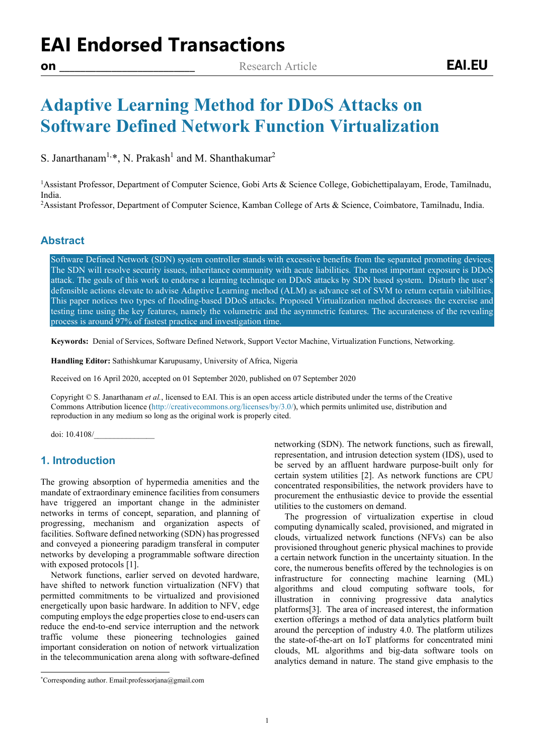# **Adaptive Learning Method for DDoS Attacks on Software Defined Network Function Virtualization**

S. Janarthanam<sup>1,[\\*](#page-0-0)</sup>, N. Prakash<sup>1</sup> and M. Shanthakumar<sup>2</sup>

<sup>1</sup>Assistant Professor, Department of Computer Science, Gobi Arts & Science College, Gobichettipalayam, Erode, Tamilnadu, India. 2

Assistant Professor, Department of Computer Science, Kamban College of Arts & Science, Coimbatore, Tamilnadu, India.

### **Abstract**

Software Defined Network (SDN) system controller stands with excessive benefits from the separated promoting devices. The SDN will resolve security issues, inheritance community with acute liabilities. The most important exposure is DDoS attack. The goals of this work to endorse a learning technique on DDoS attacks by SDN based system. Disturb the user's defensible actions elevate to advise Adaptive Learning method (ALM) as advance set of SVM to return certain viabilities. This paper notices two types of flooding-based DDoS attacks. Proposed Virtualization method decreases the exercise and testing time using the key features, namely the volumetric and the asymmetric features. The accurateness of the revealing process is around 97% of fastest practice and investigation time.

**Keywords:** Denial of Services, Software Defined Network, Support Vector Machine, Virtualization Functions, Networking.

**Handling Editor:** Sathishkumar Karupusamy, University of Africa, Nigeria

Received on 16 April 2020, accepted on 01 September 2020, published on 07 September 2020

Copyright © S. Janarthanam *et al.*, licensed to EAI. This is an open access article distributed under the terms of the Creative Commons Attribution licence [\(http://creativecommons.org/licenses/by/3.0/\)](http://creativecommons.org/licenses/by/3.0/), which permits unlimited use, distribution and reproduction in any medium so long as the original work is properly cited.

doi: 10.4108/\_\_\_\_\_\_\_\_\_\_\_\_\_\_\_

### **1. Introduction**

The growing absorption of hypermedia amenities and the mandate of extraordinary eminence facilities from consumers have triggered an important change in the administer networks in terms of concept, separation, and planning of progressing, mechanism and organization aspects of facilities. Software defined networking (SDN) has progressed and conveyed a pioneering paradigm transferal in computer networks by developing a programmable software direction with exposed protocols [1].

Network functions, earlier served on devoted hardware, have shifted to network function virtualization (NFV) that permitted commitments to be virtualized and provisioned energetically upon basic hardware. In addition to NFV, edge computing employs the edge properties close to end-users can reduce the end-to-end service interruption and the network traffic volume these pioneering technologies gained important consideration on notion of network virtualization in the telecommunication arena along with software-defined networking (SDN). The network functions, such as firewall, representation, and intrusion detection system (IDS), used to be served by an affluent hardware purpose-built only for certain system utilities [2]. As network functions are CPU concentrated responsibilities, the network providers have to procurement the enthusiastic device to provide the essential utilities to the customers on demand.

The progression of virtualization expertise in cloud computing dynamically scaled, provisioned, and migrated in clouds, virtualized network functions (NFVs) can be also provisioned throughout generic physical machines to provide a certain network function in the uncertainty situation. In the core, the numerous benefits offered by the technologies is on infrastructure for connecting machine learning (ML) algorithms and cloud computing software tools, for illustration in conniving progressive data analytics platforms[3]. The area of increased interest, the information exertion offerings a method of data analytics platform built around the perception of industry 4.0. The platform utilizes the state-of-the-art on IoT platforms for concentrated mini clouds, ML algorithms and big-data software tools on analytics demand in nature. The stand give emphasis to the



<span id="page-0-0"></span><sup>\*</sup> Corresponding author. Email:professorjana@gmail.com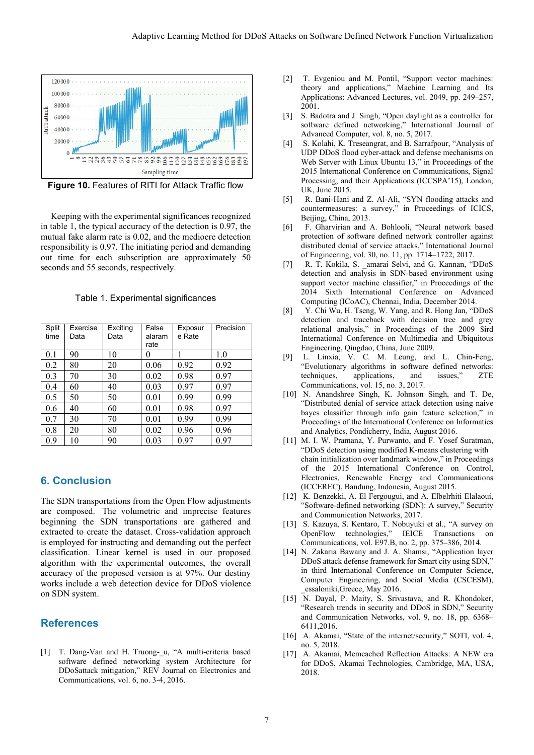

**Figure 10.** Features of RITI for Attack Traffic flow

Keeping with the experimental significances recognized in table 1, the typical accuracy of the detection is 0.97, the mutual fake alarm rate is 0.02, and the mediocre detection responsibility is 0.97. The initiating period and demanding out time for each subscription are approximately 50 seconds and 55 seconds, respectively.

Table 1. Experimental significances

| Split<br>time | Exercise<br>Data | Exciting<br>Data | False<br>alaram<br>rate | Exposur<br>e Rate | Precision |
|---------------|------------------|------------------|-------------------------|-------------------|-----------|
| 0.1           | 90               | 10               | 0                       |                   | 1.0       |
| 0.2           | 80               | 20               | 0.06                    | 0.92              | 0.92      |
| 0.3           | 70               | 30               | 0.02                    | 0.98              | 0.97      |
| 0.4           | 60               | 40               | 0.03                    | 0.97              | 0.97      |
| 0.5           | 50               | 50               | 0.01                    | 0.99              | 0.99      |
| 0.6           | 40               | 60               | 0.01                    | 0.98              | 0.97      |
| 0.7           | 30               | 70               | 0.01                    | 0.99              | 0.99      |
| 0.8           | 20               | 80               | 0.02                    | 0.96              | 0.96      |
| 0.9           | 10               | 90               | 0.03                    | 0.97              | 0.97      |

# **6. Conclusion**

The SDN transportations from the Open Flow adjustments are composed. The volumetric and imprecise features beginning the SDN transportations are gathered and extracted to create the dataset. Cross-validation approach is employed for instructing and demanding out the perfect classification. Linear kernel is used in our proposed algorithm with the experimental outcomes, the overall accuracy of the proposed version is at 97%. Our destiny works include a web detection device for DDoS violence on SDN system.

# **References**

[1] T. Dang-Van and H. Truong-\_u, "A multi-criteria based software defined networking system Architecture for DDoSattack mitigation," REV Journal on Electronics and Communications, vol. 6, no. 3-4, 2016.

- [2] T. Evgeniou and M. Pontil, "Support vector machines: theory and applications," Machine Learning and Its Applications: Advanced Lectures, vol. 2049, pp. 249–257, 2001.
- [3] S. Badotra and J. Singh, "Open daylight as a controller for software defined networking," International Journal of Advanced Computer, vol. 8, no. 5, 2017.
- [4] S. Kolahi, K. Treseangrat, and B. Sarrafpour, "Analysis of UDP DDoS flood cyber-attack and defense mechanisms on Web Server with Linux Ubuntu 13," in Proceedings of the 2015 International Conference on Communications, Signal Processing, and their Applications (ICCSPA'15), London, UK, June 2015.
- [5] R. Bani-Hani and Z. Al-Ali, "SYN flooding attacks and countermeasures: a survey," in Proceedings of ICICS, Beijing, China, 2013.
- [6] F. Gharvirian and A. Bohlooli, "Neural network based protection of software defined network controller against distributed denial of service attacks," International Journal of Engineering, vol. 30, no. 11, pp. 1714–1722, 2017.
- [7] R. T. Kokila, S. amarai Selvi, and G. Kannan, "DDoS detection and analysis in SDN-based environment using support vector machine classifier," in Proceedings of the 2014 Sixth International Conference on Advanced Computing (ICoAC), Chennai, India, December 2014.
- [8] Y. Chi Wu, H. Tseng, W. Yang, and R. Hong Jan, "DDoS detection and traceback with decision tree and grey relational analysis," in Proceedings of the 2009 \$ird International Conference on Multimedia and Ubiquitous Engineering, Qingdao, China, June 2009.
- [9] L. Linxia, V. C. M. Leung, and L. Chin-Feng, "Evolutionary algorithms in software defined networks: techniques, applications, and issues," ZTE Communications, vol. 15, no. 3, 2017.
- [10] N. Anandshree Singh, K. Johnson Singh, and T. De, "Distributed denial of service attack detection using naive bayes classifier through info gain feature selection," in Proceedings of the International Conference on Informatics and Analytics, Pondicherry, India, August 2016.
- [11] M. I. W. Pramana, Y. Purwanto, and F. Yosef Suratman, "DDoS detection using modified K-means clustering with chain initialization over landmark window," in Proceedings of the 2015 International Conference on Control, Electronics, Renewable Energy and Communications (ICCEREC), Bandung, Indonesia, August 2015.
- [12] K. Benzekki, A. El Fergougui, and A. Elbelrhiti Elalaoui, "Software-defined networking (SDN): A survey," Security and Communication Networks, 2017.
- [13] S. Kazuya, S. Kentaro, T. Nobuyuki et al., "A survey on OpenFlow technologies," IEICE Transactions Communications, vol. E97.B, no. 2, pp. 375–386, 2014.
- [14] N. Zakaria Bawany and J. A. Shamsi, "Application layer DDoS attack defense framework for Smart city using SDN," in third International Conference on Computer Science, Computer Engineering, and Social Media (CSCESM), \_essaloniki,Greece, May 2016.
- [15] N. Dayal, P. Maity, S. Srivastava, and R. Khondoker, "Research trends in security and DDoS in SDN," Security and Communication Networks, vol. 9, no. 18, pp. 6368– 6411,2016.
- [16] A. Akamai, "State of the internet/security," SOTI, vol. 4, no. 5, 2018.
- [17] A. Akamai, Memcached Reflection Attacks: A NEW era for DDoS, Akamai Technologies, Cambridge, MA, USA, 2018.